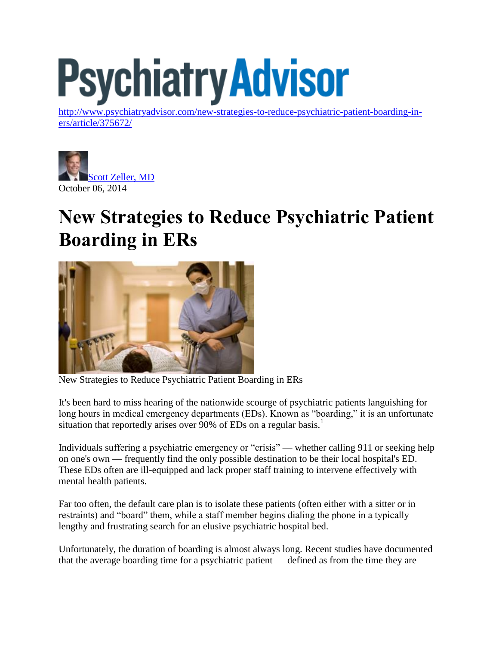# **Psychiatry Advisor**

[http://www.psychiatryadvisor.com/new-strategies-to-reduce-psychiatric-patient-boarding-in](http://www.psychiatryadvisor.com/new-strategies-to-reduce-psychiatric-patient-boarding-in-ers/article/375672/)[ers/article/375672/](http://www.psychiatryadvisor.com/new-strategies-to-reduce-psychiatric-patient-boarding-in-ers/article/375672/)



## **New Strategies to Reduce Psychiatric Patient Boarding in ERs**



New Strategies to Reduce Psychiatric Patient Boarding in ERs

It's been hard to miss hearing of the nationwide scourge of psychiatric patients languishing for long hours in medical emergency departments (EDs). Known as "boarding," it is an unfortunate situation that reportedly arises over 90% of EDs on a regular basis.<sup>1</sup>

Individuals suffering a psychiatric emergency or "crisis" — whether calling 911 or seeking help on one's own — frequently find the only possible destination to be their local hospital's ED. These EDs often are ill-equipped and lack proper staff training to intervene effectively with mental health patients.

Far too often, the default care plan is to isolate these patients (often either with a sitter or in restraints) and "board" them, while a staff member begins dialing the phone in a typically lengthy and frustrating search for an elusive psychiatric hospital bed.

Unfortunately, the duration of boarding is almost always long. Recent studies have documented that the average boarding time for a psychiatric patient — defined as from the time they are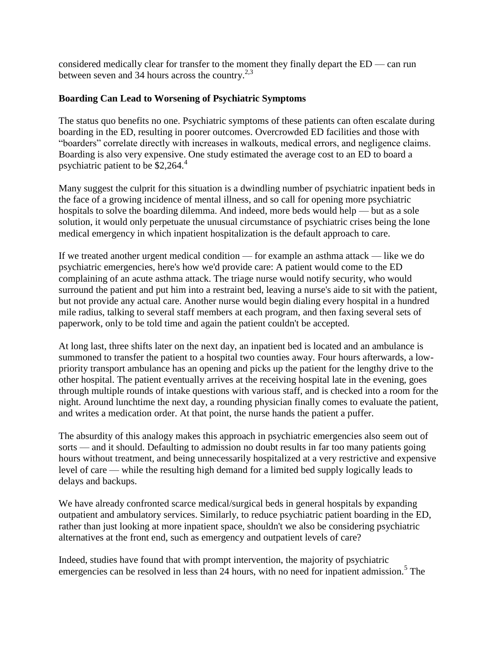considered medically clear for transfer to the moment they finally depart the ED — can run between seven and 34 hours across the country. $2,3$ 

#### **Boarding Can Lead to Worsening of Psychiatric Symptoms**

The status quo benefits no one. Psychiatric symptoms of these patients can often escalate during boarding in the ED, resulting in poorer outcomes. Overcrowded ED facilities and those with "boarders" correlate directly with increases in walkouts, medical errors, and negligence claims. Boarding is also very expensive. One study estimated the average cost to an ED to board a psychiatric patient to be  $$2,264.4$ 

Many suggest the culprit for this situation is a dwindling number of psychiatric inpatient beds in the face of a growing incidence of mental illness, and so call for opening more psychiatric hospitals to solve the boarding dilemma. And indeed, more beds would help — but as a sole solution, it would only perpetuate the unusual circumstance of psychiatric crises being the lone medical emergency in which inpatient hospitalization is the default approach to care.

If we treated another urgent medical condition — for example an asthma attack — like we do psychiatric emergencies, here's how we'd provide care: A patient would come to the ED complaining of an acute asthma attack. The triage nurse would notify security, who would surround the patient and put him into a restraint bed, leaving a nurse's aide to sit with the patient, but not provide any actual care. Another nurse would begin dialing every hospital in a hundred mile radius, talking to several staff members at each program, and then faxing several sets of paperwork, only to be told time and again the patient couldn't be accepted.

At long last, three shifts later on the next day, an inpatient bed is located and an ambulance is summoned to transfer the patient to a hospital two counties away. Four hours afterwards, a lowpriority transport ambulance has an opening and picks up the patient for the lengthy drive to the other hospital. The patient eventually arrives at the receiving hospital late in the evening, goes through multiple rounds of intake questions with various staff, and is checked into a room for the night. Around lunchtime the next day, a rounding physician finally comes to evaluate the patient, and writes a medication order. At that point, the nurse hands the patient a puffer.

The absurdity of this analogy makes this approach in psychiatric emergencies also seem out of sorts — and it should. Defaulting to admission no doubt results in far too many patients going hours without treatment, and being unnecessarily hospitalized at a very restrictive and expensive level of care — while the resulting high demand for a limited bed supply logically leads to delays and backups.

We have already confronted scarce medical/surgical beds in general hospitals by expanding outpatient and ambulatory services. Similarly, to reduce psychiatric patient boarding in the ED, rather than just looking at more inpatient space, shouldn't we also be considering psychiatric alternatives at the front end, such as emergency and outpatient levels of care?

Indeed, studies have found that with prompt intervention, the majority of psychiatric emergencies can be resolved in less than  $24$  hours, with no need for inpatient admission.<sup>5</sup> The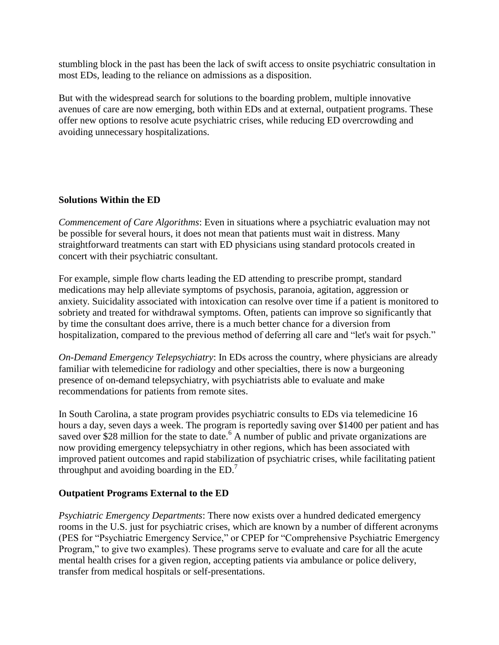stumbling block in the past has been the lack of swift access to onsite psychiatric consultation in most EDs, leading to the reliance on admissions as a disposition.

But with the widespread search for solutions to the boarding problem, multiple innovative avenues of care are now emerging, both within EDs and at external, outpatient programs. These offer new options to resolve acute psychiatric crises, while reducing ED overcrowding and avoiding unnecessary hospitalizations.

#### **Solutions Within the ED**

*Commencement of Care Algorithms*: Even in situations where a psychiatric evaluation may not be possible for several hours, it does not mean that patients must wait in distress. Many straightforward treatments can start with ED physicians using standard protocols created in concert with their psychiatric consultant.

For example, simple flow charts leading the ED attending to prescribe prompt, standard medications may help alleviate symptoms of psychosis, paranoia, agitation, aggression or anxiety. Suicidality associated with intoxication can resolve over time if a patient is monitored to sobriety and treated for withdrawal symptoms. Often, patients can improve so significantly that by time the consultant does arrive, there is a much better chance for a diversion from hospitalization, compared to the previous method of deferring all care and "let's wait for psych."

*On-Demand Emergency Telepsychiatry*: In EDs across the country, where physicians are already familiar with telemedicine for radiology and other specialties, there is now a burgeoning presence of on-demand telepsychiatry, with psychiatrists able to evaluate and make recommendations for patients from remote sites.

In South Carolina, a state program provides psychiatric consults to EDs via telemedicine 16 hours a day, seven days a week. The program is reportedly saving over \$1400 per patient and has saved over \$28 million for the state to date.<sup>6</sup> A number of public and private organizations are now providing emergency telepsychiatry in other regions, which has been associated with improved patient outcomes and rapid stabilization of psychiatric crises, while facilitating patient throughput and avoiding boarding in the  $ED.<sup>7</sup>$ 

#### **Outpatient Programs External to the ED**

*Psychiatric Emergency Departments*: There now exists over a hundred dedicated emergency rooms in the U.S. just for psychiatric crises, which are known by a number of different acronyms (PES for "Psychiatric Emergency Service," or CPEP for "Comprehensive Psychiatric Emergency Program," to give two examples). These programs serve to evaluate and care for all the acute mental health crises for a given region, accepting patients via ambulance or police delivery, transfer from medical hospitals or self-presentations.